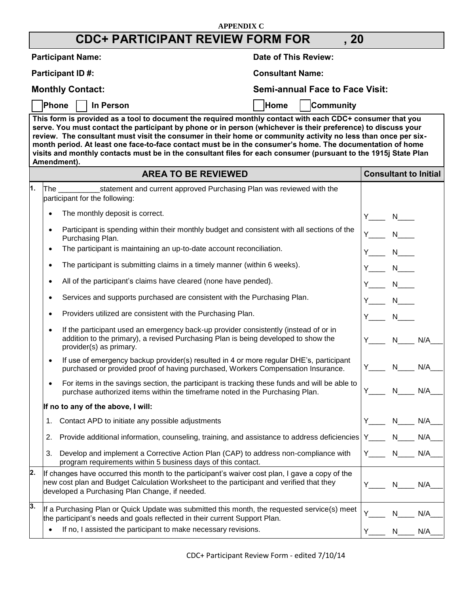## **APPENDIX C CDC+ PARTICIPANT REVIEW FORM FOR , 20 Participant Name: Date of This Review: Date of This Review: Participant ID #:** Consultant Name: **Monthly Contact: Semi-annual Face to Face Visit:**  Phone **I** In Person **Home I** Home I Community **This form is provided as a tool to document the required monthly contact with each CDC+ consumer that you serve. You must contact the participant by phone or in person (whichever is their preference) to discuss your review. The consultant must visit the consumer in their home or community activity no less than once per sixmonth period. At least one face-to-face contact must be in the consumer's home. The documentation of home visits and monthly contacts must be in the consultant files for each consumer (pursuant to the 1915j State Plan Amendment). AREA TO BE REVIEWED Consultant to Initial**

|                  | ANCA TU DE NEVIEWED                                                                                                                                                                                                                           | <b>UUIISUILAHL LU HIILIAI</b>   |
|------------------|-----------------------------------------------------------------------------------------------------------------------------------------------------------------------------------------------------------------------------------------------|---------------------------------|
| 1.               | statement and current approved Purchasing Plan was reviewed with the<br>lThe l<br>participant for the following:                                                                                                                              |                                 |
|                  | The monthly deposit is correct.                                                                                                                                                                                                               | $N_{\perp}$<br>$Y_{\_\_\_\_\_}$ |
|                  | Participant is spending within their monthly budget and consistent with all sections of the<br>Purchasing Plan.                                                                                                                               | Y N<br>N                        |
|                  | The participant is maintaining an up-to-date account reconciliation.<br>$\bullet$                                                                                                                                                             | $N_{\perp}$<br>Y.               |
|                  | The participant is submitting claims in a timely manner (within 6 weeks).<br>$\bullet$                                                                                                                                                        | Y N                             |
|                  | All of the participant's claims have cleared (none have pended).                                                                                                                                                                              | $N_{\perp}$<br>Y N              |
|                  | Services and supports purchased are consistent with the Purchasing Plan.                                                                                                                                                                      | $N_{\_\_\_\_\_\}$<br>Y N        |
|                  | Providers utilized are consistent with the Purchasing Plan.                                                                                                                                                                                   |                                 |
|                  | If the participant used an emergency back-up provider consistently (instead of or in<br>addition to the primary), a revised Purchasing Plan is being developed to show the<br>provider(s) as primary.                                         | Y N<br>N<br>N/A                 |
|                  | If use of emergency backup provider(s) resulted in 4 or more regular DHE's, participant<br>$\bullet$<br>purchased or provided proof of having purchased, Workers Compensation Insurance.                                                      | Y N N/A                         |
|                  | For items in the savings section, the participant is tracking these funds and will be able to<br>purchase authorized items within the timeframe noted in the Purchasing Plan.                                                                 | N<br>N/A<br>Y .                 |
|                  | If no to any of the above, I will:                                                                                                                                                                                                            |                                 |
|                  | Contact APD to initiate any possible adjustments<br>1.                                                                                                                                                                                        | $N$ $N/A$                       |
|                  | Provide additional information, counseling, training, and assistance to address deficiencies   Y____ N___ N/A_<br>2.                                                                                                                          |                                 |
|                  | Develop and implement a Corrective Action Plan (CAP) to address non-compliance with<br>3.<br>program requirements within 5 business days of this contact.                                                                                     | Y N N/A                         |
| 2.               | If changes have occurred this month to the participant's waiver cost plan, I gave a copy of the<br>new cost plan and Budget Calculation Worksheet to the participant and verified that they<br>developed a Purchasing Plan Change, if needed. | N N/A                           |
| $\overline{3}$ . | If a Purchasing Plan or Quick Update was submitted this month, the requested service(s) meet<br>the participant's needs and goals reflected in their current Support Plan.                                                                    | Y.<br>N -<br>N/A                |
|                  | If no, I assisted the participant to make necessary revisions.                                                                                                                                                                                | Y<br>N/A<br>N                   |